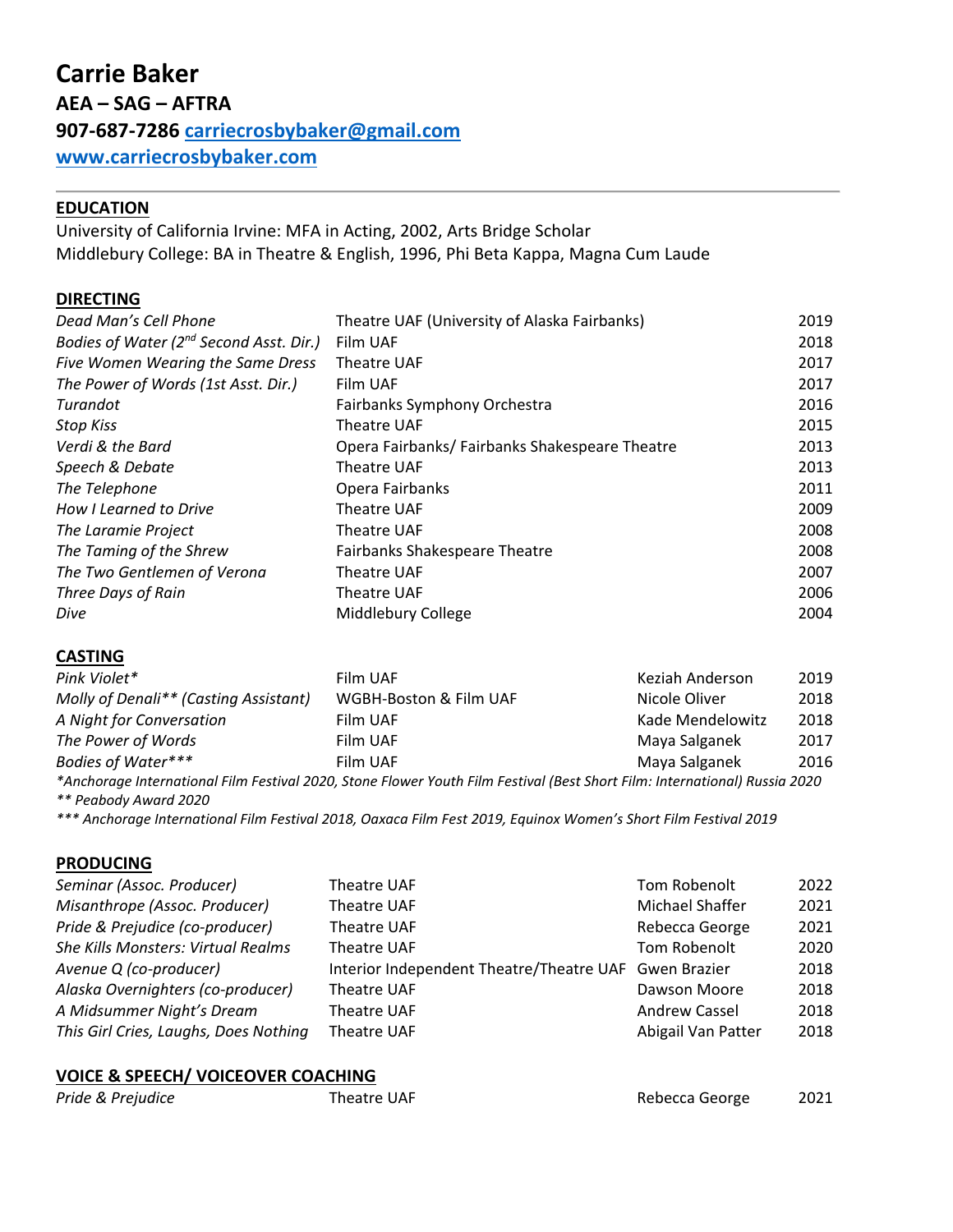# **EDUCATION**

University of California Irvine: MFA in Acting, 2002, Arts Bridge Scholar Middlebury College: BA in Theatre & English, 1996, Phi Beta Kappa, Magna Cum Laude

## **DIRECTING**

| Dead Man's Cell Phone                   | Theatre UAF (University of Alaska Fairbanks)  | 2019 |
|-----------------------------------------|-----------------------------------------------|------|
| Bodies of Water (2nd Second Asst. Dir.) | Film UAF                                      | 2018 |
| Five Women Wearing the Same Dress       | Theatre UAF                                   | 2017 |
| The Power of Words (1st Asst. Dir.)     | Film UAF                                      | 2017 |
| Turandot                                | Fairbanks Symphony Orchestra                  | 2016 |
| <b>Stop Kiss</b>                        | Theatre UAF                                   | 2015 |
| Verdi & the Bard                        | Opera Fairbanks/Fairbanks Shakespeare Theatre | 2013 |
| Speech & Debate                         | Theatre UAF                                   | 2013 |
| The Telephone                           | Opera Fairbanks                               | 2011 |
| How I Learned to Drive                  | Theatre UAF                                   | 2009 |
| The Laramie Project                     | Theatre UAF                                   | 2008 |
| The Taming of the Shrew                 | <b>Fairbanks Shakespeare Theatre</b>          | 2008 |
| The Two Gentlemen of Verona             | Theatre UAF                                   | 2007 |
| Three Days of Rain                      | Theatre UAF                                   | 2006 |
| Dive                                    | Middlebury College                            | 2004 |

### **CASTING**

| Pink Violet*                          | Film UAF                                                                                                                   | Keziah Anderson  | 2019 |
|---------------------------------------|----------------------------------------------------------------------------------------------------------------------------|------------------|------|
| Molly of Denali** (Casting Assistant) | WGBH-Boston & Film UAF                                                                                                     | Nicole Oliver    | 2018 |
| A Night for Conversation              | Film UAF                                                                                                                   | Kade Mendelowitz | 2018 |
| The Power of Words                    | Film UAF                                                                                                                   | Maya Salganek    | 2017 |
| Bodies of Water***                    | Film UAF                                                                                                                   | Maya Salganek    | 2016 |
|                                       | *Anchorage International Film Festival 2020, Stone Flower Youth Film Festival (Best Short Film: International) Russia 2020 |                  |      |

*\*\* Peabody Award 2020* 

*\*\*\* Anchorage International Film Festival 2018, Oaxaca Film Fest 2019, Equinox Women's Short Film Festival 2019* 

## **PRODUCING**

| Seminar (Assoc. Producer)                 | Theatre UAF                                           | Tom Robenolt         | 2022 |
|-------------------------------------------|-------------------------------------------------------|----------------------|------|
| Misanthrope (Assoc. Producer)             | <b>Theatre UAF</b>                                    | Michael Shaffer      | 2021 |
| Pride & Prejudice (co-producer)           | Theatre UAF                                           | Rebecca George       | 2021 |
| <b>She Kills Monsters: Virtual Realms</b> | <b>Theatre UAF</b>                                    | Tom Robenolt         | 2020 |
| Avenue Q (co-producer)                    | Interior Independent Theatre/Theatre UAF Gwen Brazier |                      | 2018 |
| Alaska Overnighters (co-producer)         | <b>Theatre UAF</b>                                    | Dawson Moore         | 2018 |
| A Midsummer Night's Dream                 | <b>Theatre UAF</b>                                    | <b>Andrew Cassel</b> | 2018 |
| This Girl Cries, Laughs, Does Nothing     | <b>Theatre UAF</b>                                    | Abigail Van Patter   | 2018 |

### **VOICE & SPEECH/ VOICEOVER COACHING**

| Pride & Prejudice | Theatre UAF | Rebecca George | 2021 |
|-------------------|-------------|----------------|------|
|                   |             |                |      |